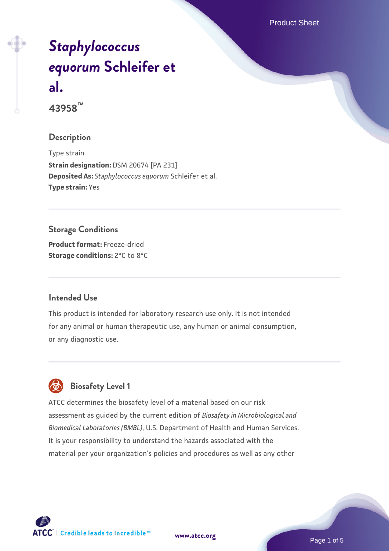Product Sheet

# *[Staphylococcus](https://www.atcc.org/products/43958) [equorum](https://www.atcc.org/products/43958)* **[Schleifer et](https://www.atcc.org/products/43958) [al.](https://www.atcc.org/products/43958)**

**43958™**

#### **Description**

Type strain **Strain designation:** DSM 20674 [PA 231] **Deposited As:** *Staphylococcus equorum* Schleifer et al. **Type strain:** Yes

## **Storage Conditions**

**Product format:** Freeze-dried **Storage conditions:** 2°C to 8°C

#### **Intended Use**

This product is intended for laboratory research use only. It is not intended for any animal or human therapeutic use, any human or animal consumption, or any diagnostic use.

### **Biosafety Level 1**

ATCC determines the biosafety level of a material based on our risk assessment as guided by the current edition of *Biosafety in Microbiological and Biomedical Laboratories (BMBL)*, U.S. Department of Health and Human Services. It is your responsibility to understand the hazards associated with the material per your organization's policies and procedures as well as any other



**[www.atcc.org](http://www.atcc.org)**

Page 1 of 5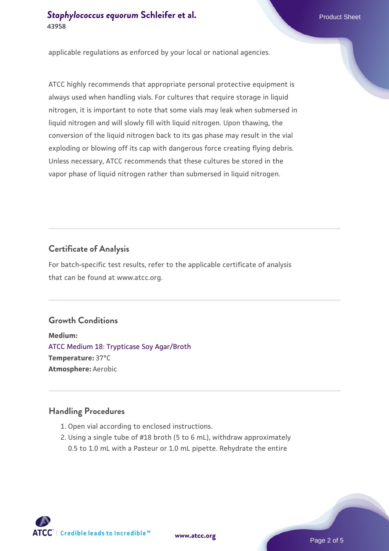applicable regulations as enforced by your local or national agencies.

ATCC highly recommends that appropriate personal protective equipment is always used when handling vials. For cultures that require storage in liquid nitrogen, it is important to note that some vials may leak when submersed in liquid nitrogen and will slowly fill with liquid nitrogen. Upon thawing, the conversion of the liquid nitrogen back to its gas phase may result in the vial exploding or blowing off its cap with dangerous force creating flying debris. Unless necessary, ATCC recommends that these cultures be stored in the vapor phase of liquid nitrogen rather than submersed in liquid nitrogen.

#### **Certificate of Analysis**

For batch-specific test results, refer to the applicable certificate of analysis that can be found at www.atcc.org.

#### **Growth Conditions**

**Medium:**  [ATCC Medium 18: Trypticase Soy Agar/Broth](https://www.atcc.org/-/media/product-assets/documents/microbial-media-formulations/1/8/atcc-medium-18.pdf?rev=832846e1425841f19fc70569848edae7) **Temperature:** 37°C **Atmosphere:** Aerobic

#### **Handling Procedures**

- 1. Open vial according to enclosed instructions.
- 2. Using a single tube of #18 broth (5 to 6 mL), withdraw approximately 0.5 to 1.0 mL with a Pasteur or 1.0 mL pipette. Rehydrate the entire

 $\mathsf{ATCC}^{\dagger} \mid \mathsf{Credible}\$  leads to Incredible  $\mathsf{m}$ 

**[www.atcc.org](http://www.atcc.org)**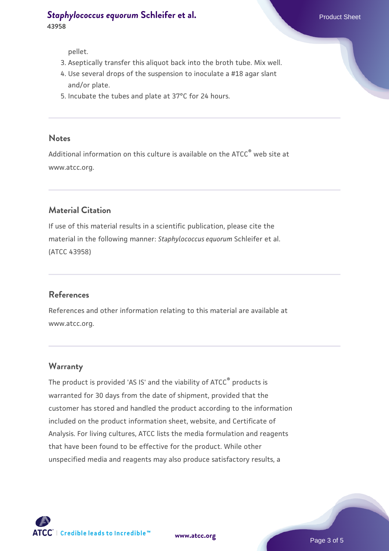pellet.

- 3. Aseptically transfer this aliquot back into the broth tube. Mix well.
- 4. Use several drops of the suspension to inoculate a #18 agar slant and/or plate.
- 5. Incubate the tubes and plate at 37°C for 24 hours.

#### **Notes**

Additional information on this culture is available on the ATCC® web site at www.atcc.org.

#### **Material Citation**

If use of this material results in a scientific publication, please cite the material in the following manner: *Staphylococcus equorum* Schleifer et al. (ATCC 43958)

#### **References**

References and other information relating to this material are available at www.atcc.org.

#### **Warranty**

The product is provided 'AS IS' and the viability of ATCC® products is warranted for 30 days from the date of shipment, provided that the customer has stored and handled the product according to the information included on the product information sheet, website, and Certificate of Analysis. For living cultures, ATCC lists the media formulation and reagents that have been found to be effective for the product. While other unspecified media and reagents may also produce satisfactory results, a



**[www.atcc.org](http://www.atcc.org)**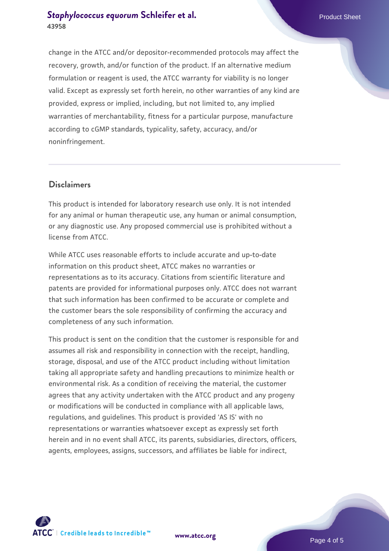change in the ATCC and/or depositor-recommended protocols may affect the recovery, growth, and/or function of the product. If an alternative medium formulation or reagent is used, the ATCC warranty for viability is no longer valid. Except as expressly set forth herein, no other warranties of any kind are provided, express or implied, including, but not limited to, any implied warranties of merchantability, fitness for a particular purpose, manufacture according to cGMP standards, typicality, safety, accuracy, and/or noninfringement.

#### **Disclaimers**

This product is intended for laboratory research use only. It is not intended for any animal or human therapeutic use, any human or animal consumption, or any diagnostic use. Any proposed commercial use is prohibited without a license from ATCC.

While ATCC uses reasonable efforts to include accurate and up-to-date information on this product sheet, ATCC makes no warranties or representations as to its accuracy. Citations from scientific literature and patents are provided for informational purposes only. ATCC does not warrant that such information has been confirmed to be accurate or complete and the customer bears the sole responsibility of confirming the accuracy and completeness of any such information.

This product is sent on the condition that the customer is responsible for and assumes all risk and responsibility in connection with the receipt, handling, storage, disposal, and use of the ATCC product including without limitation taking all appropriate safety and handling precautions to minimize health or environmental risk. As a condition of receiving the material, the customer agrees that any activity undertaken with the ATCC product and any progeny or modifications will be conducted in compliance with all applicable laws, regulations, and guidelines. This product is provided 'AS IS' with no representations or warranties whatsoever except as expressly set forth herein and in no event shall ATCC, its parents, subsidiaries, directors, officers, agents, employees, assigns, successors, and affiliates be liable for indirect,